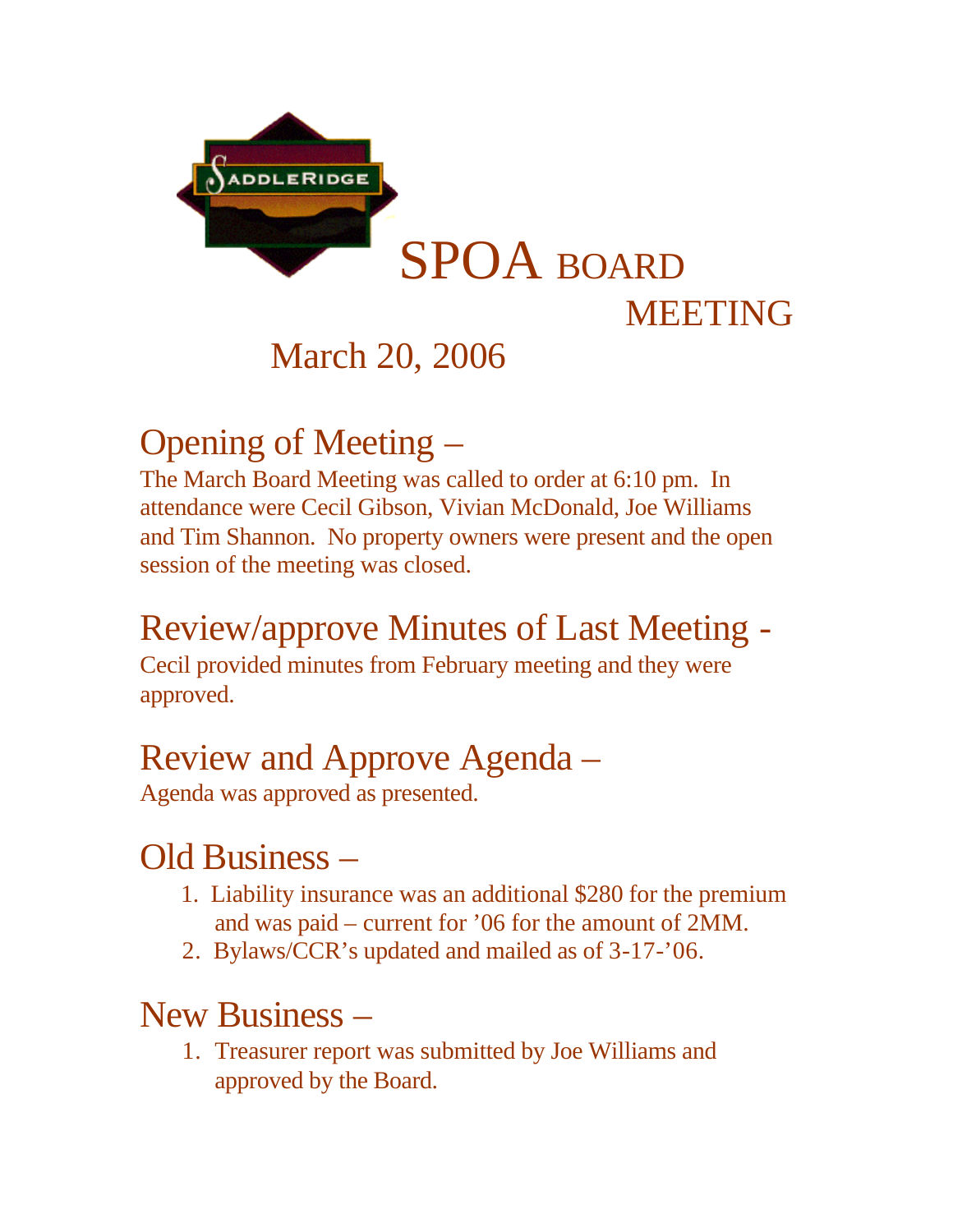

# March 20, 2006

# Opening of Meeting –

The March Board Meeting was called to order at 6:10 pm. In attendance were Cecil Gibson, Vivian McDonald, Joe Williams and Tim Shannon. No property owners were present and the open session of the meeting was closed.

# Review/approve Minutes of Last Meeting -

Cecil provided minutes from February meeting and they were approved.

## Review and Approve Agenda –

Agenda was approved as presented.

### Old Business –

- 1. Liability insurance was an additional \$280 for the premium and was paid – current for '06 for the amount of 2MM.
- 2. Bylaws/CCR's updated and mailed as of 3-17-'06.

#### New Business –

1. Treasurer report was submitted by Joe Williams and approved by the Board.